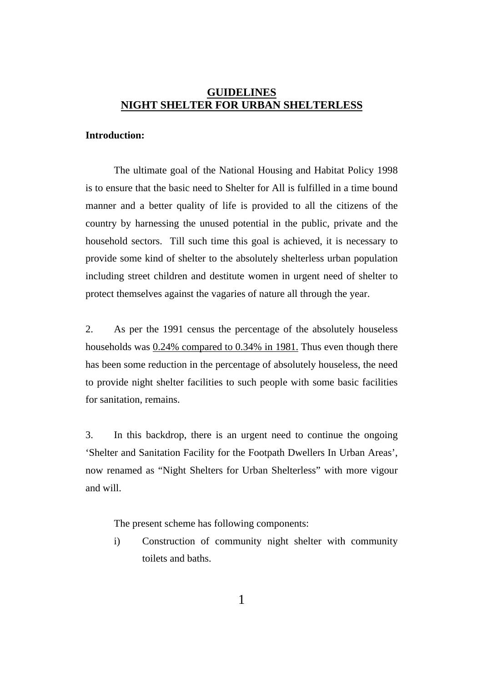# **GUIDELINES NIGHT SHELTER FOR URBAN SHELTERLESS**

#### **Introduction:**

The ultimate goal of the National Housing and Habitat Policy 1998 is to ensure that the basic need to Shelter for All is fulfilled in a time bound manner and a better quality of life is provided to all the citizens of the country by harnessing the unused potential in the public, private and the household sectors. Till such time this goal is achieved, it is necessary to provide some kind of shelter to the absolutely shelterless urban population including street children and destitute women in urgent need of shelter to protect themselves against the vagaries of nature all through the year.

2. As per the 1991 census the percentage of the absolutely houseless households was 0.24% compared to 0.34% in 1981. Thus even though there has been some reduction in the percentage of absolutely houseless, the need to provide night shelter facilities to such people with some basic facilities for sanitation, remains.

3. In this backdrop, there is an urgent need to continue the ongoing 'Shelter and Sanitation Facility for the Footpath Dwellers In Urban Areas', now renamed as "Night Shelters for Urban Shelterless" with more vigour and will.

The present scheme has following components:

i) Construction of community night shelter with community toilets and baths.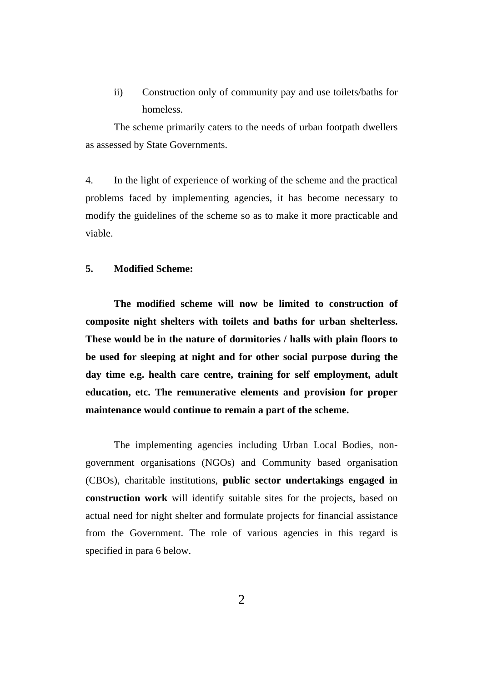ii) Construction only of community pay and use toilets/baths for homeless.

The scheme primarily caters to the needs of urban footpath dwellers as assessed by State Governments.

4. In the light of experience of working of the scheme and the practical problems faced by implementing agencies, it has become necessary to modify the guidelines of the scheme so as to make it more practicable and viable.

## **5. Modified Scheme:**

**The modified scheme will now be limited to construction of composite night shelters with toilets and baths for urban shelterless. These would be in the nature of dormitories / halls with plain floors to be used for sleeping at night and for other social purpose during the day time e.g. health care centre, training for self employment, adult education, etc. The remunerative elements and provision for proper maintenance would continue to remain a part of the scheme.**

The implementing agencies including Urban Local Bodies, nongovernment organisations (NGOs) and Community based organisation (CBOs), charitable institutions, **public sector undertakings engaged in construction work** will identify suitable sites for the projects, based on actual need for night shelter and formulate projects for financial assistance from the Government. The role of various agencies in this regard is specified in para 6 below.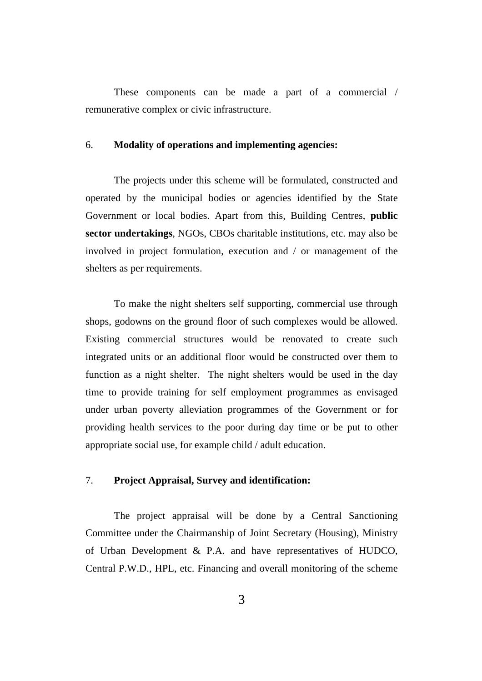These components can be made a part of a commercial / remunerative complex or civic infrastructure.

# 6. **Modality of operations and implementing agencies:**

The projects under this scheme will be formulated, constructed and operated by the municipal bodies or agencies identified by the State Government or local bodies. Apart from this, Building Centres, **public sector undertakings**, NGOs, CBOs charitable institutions, etc. may also be involved in project formulation, execution and / or management of the shelters as per requirements.

To make the night shelters self supporting, commercial use through shops, godowns on the ground floor of such complexes would be allowed. Existing commercial structures would be renovated to create such integrated units or an additional floor would be constructed over them to function as a night shelter. The night shelters would be used in the day time to provide training for self employment programmes as envisaged under urban poverty alleviation programmes of the Government or for providing health services to the poor during day time or be put to other appropriate social use, for example child / adult education.

## 7. **Project Appraisal, Survey and identification:**

The project appraisal will be done by a Central Sanctioning Committee under the Chairmanship of Joint Secretary (Housing), Ministry of Urban Development & P.A. and have representatives of HUDCO, Central P.W.D., HPL, etc. Financing and overall monitoring of the scheme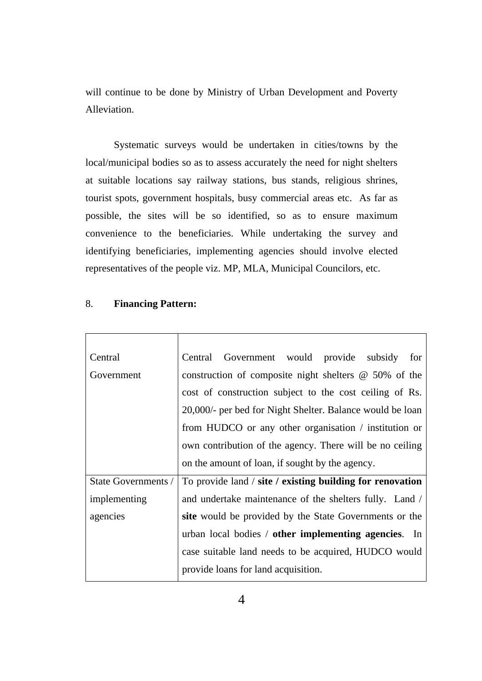will continue to be done by Ministry of Urban Development and Poverty Alleviation.

Systematic surveys would be undertaken in cities/towns by the local/municipal bodies so as to assess accurately the need for night shelters at suitable locations say railway stations, bus stands, religious shrines, tourist spots, government hospitals, busy commercial areas etc. As far as possible, the sites will be so identified, so as to ensure maximum convenience to the beneficiaries. While undertaking the survey and identifying beneficiaries, implementing agencies should involve elected representatives of the people viz. MP, MLA, Municipal Councilors, etc.

| Central             | Central Government would provide subsidy<br>for                     |
|---------------------|---------------------------------------------------------------------|
| Government          | construction of composite night shelters $\omega$ 50% of the        |
|                     | cost of construction subject to the cost ceiling of Rs.             |
|                     | 20,000/- per bed for Night Shelter. Balance would be loan           |
|                     | from HUDCO or any other organisation $\ell$ institution or          |
|                     | own contribution of the agency. There will be no ceiling            |
|                     | on the amount of loan, if sought by the agency.                     |
| State Governments / | To provide land $\ell$ site $\ell$ existing building for renovation |
| implementing        | and undertake maintenance of the shelters fully. Land /             |
| agencies            | site would be provided by the State Governments or the              |
|                     | urban local bodies / other implementing agencies. In                |
|                     | case suitable land needs to be acquired, HUDCO would                |
|                     | provide loans for land acquisition.                                 |

#### 8. **Financing Pattern:**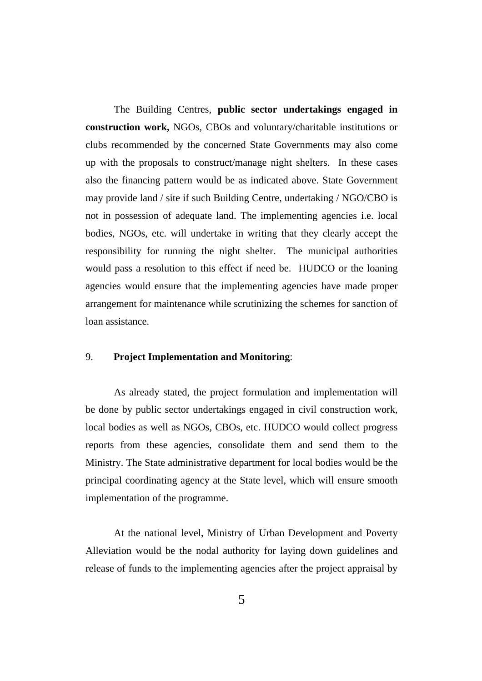The Building Centres, **public sector undertakings engaged in construction work,** NGOs, CBOs and voluntary/charitable institutions or clubs recommended by the concerned State Governments may also come up with the proposals to construct/manage night shelters. In these cases also the financing pattern would be as indicated above. State Government may provide land / site if such Building Centre, undertaking / NGO/CBO is not in possession of adequate land. The implementing agencies i.e. local bodies, NGOs, etc. will undertake in writing that they clearly accept the responsibility for running the night shelter. The municipal authorities would pass a resolution to this effect if need be. HUDCO or the loaning agencies would ensure that the implementing agencies have made proper arrangement for maintenance while scrutinizing the schemes for sanction of loan assistance.

#### 9. **Project Implementation and Monitoring**:

As already stated, the project formulation and implementation will be done by public sector undertakings engaged in civil construction work, local bodies as well as NGOs, CBOs, etc. HUDCO would collect progress reports from these agencies, consolidate them and send them to the Ministry. The State administrative department for local bodies would be the principal coordinating agency at the State level, which will ensure smooth implementation of the programme.

At the national level, Ministry of Urban Development and Poverty Alleviation would be the nodal authority for laying down guidelines and release of funds to the implementing agencies after the project appraisal by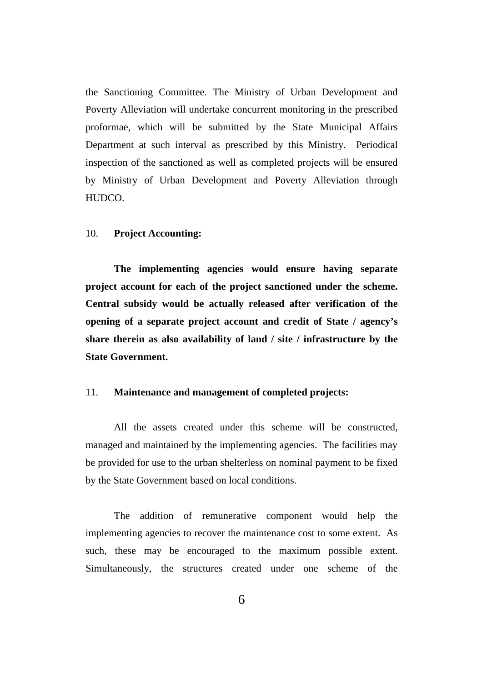the Sanctioning Committee. The Ministry of Urban Development and Poverty Alleviation will undertake concurrent monitoring in the prescribed proformae, which will be submitted by the State Municipal Affairs Department at such interval as prescribed by this Ministry. Periodical inspection of the sanctioned as well as completed projects will be ensured by Ministry of Urban Development and Poverty Alleviation through HUDCO.

#### 10. **Project Accounting:**

**The implementing agencies would ensure having separate project account for each of the project sanctioned under the scheme. Central subsidy would be actually released after verification of the opening of a separate project account and credit of State / agency's share therein as also availability of land / site / infrastructure by the State Government.**

#### 11. **Maintenance and management of completed projects:**

All the assets created under this scheme will be constructed, managed and maintained by the implementing agencies. The facilities may be provided for use to the urban shelterless on nominal payment to be fixed by the State Government based on local conditions.

The addition of remunerative component would help the implementing agencies to recover the maintenance cost to some extent. As such, these may be encouraged to the maximum possible extent. Simultaneously, the structures created under one scheme of the